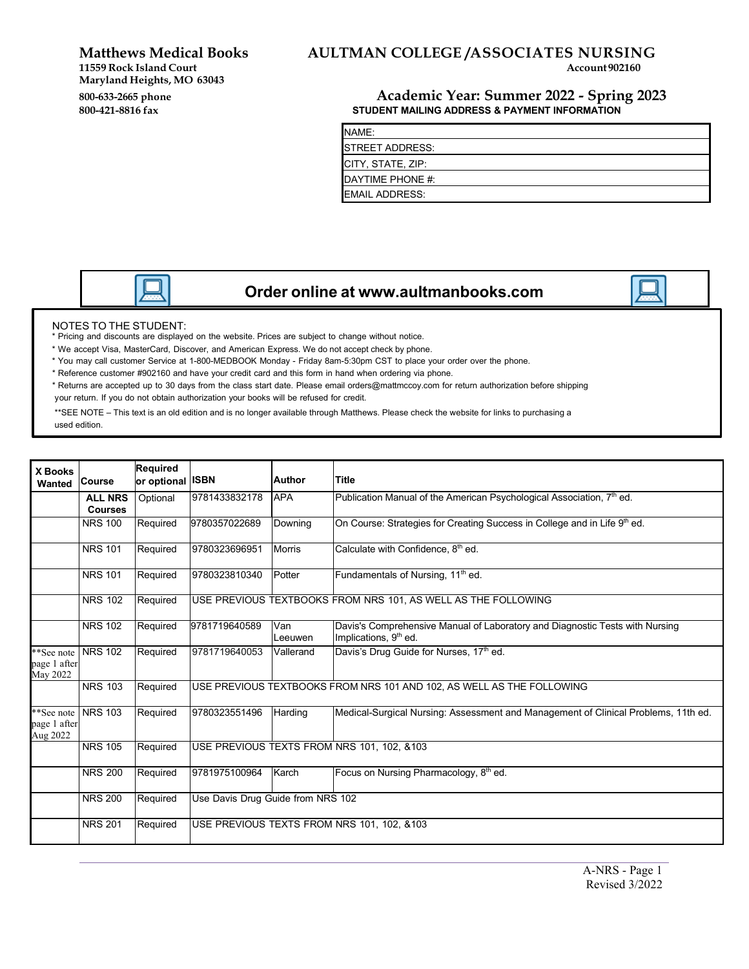**Matthews Medical Books** 

 **Maryland Heights, MO 63043**  800-633-2665 phone **11559 Rock Island Court** 

# **AULTMAN COLLEGE /ASSOCIATES NURSING**<br>Account 902160

### **800-633-2665 phone Academic Year: Summer 2022 - Spring 2023 STUDENT MAILING ADDRESS & PAYMENT INFORMATION**

| NAME:                 |  |
|-----------------------|--|
| STREET ADDRESS:       |  |
| CITY, STATE, ZIP:     |  |
| DAYTIME PHONE #:      |  |
| <b>EMAIL ADDRESS:</b> |  |

## **Order online at [www.aultmanbooks.com](http://www.aultmanbooks.com/)**

#### NOTES TO THE STUDENT:

\* Pricing and discounts are displayed on the website. Prices are subject to change without notice.

- \* We accept Visa, MasterCard, Discover, and American Express. We do not accept check by phone.
- \* You may call customer Service at 1-800-MEDBOOK Monday Friday 8am-5:30pm CST to place your order over the phone.
- \* Reference customer #902160 and have your credit card and this form in hand when ordering via phone.
- \* Returns are accepted up to 30 days from the class start date. Please emai[l orders@mattmccoy.com](mailto:orders@mattmccoy.com) for return authorization before shipping your return. If you do not obtain authorization your books will be refused for credit.

 \*\*SEE NOTE – This text is an old edition and is no longer available through Matthews. Please check the website for links to purchasing a used edition.

| <b>X Books</b><br>Wanted               | <b>Course</b>                    | Required<br>or optional ISBN |                                   | <b>Author</b>  | <b>Title</b>                                                                                                      |
|----------------------------------------|----------------------------------|------------------------------|-----------------------------------|----------------|-------------------------------------------------------------------------------------------------------------------|
|                                        | <b>ALL NRS</b><br><b>Courses</b> | Optional                     | 9781433832178                     | <b>APA</b>     | Publication Manual of the American Psychological Association, 7 <sup>th</sup> ed.                                 |
|                                        | <b>NRS 100</b>                   | Required                     | 9780357022689                     | Downing        | On Course: Strategies for Creating Success in College and in Life 9th ed.                                         |
|                                        | <b>NRS 101</b>                   | Required                     | 9780323696951                     | <b>Morris</b>  | Calculate with Confidence, 8 <sup>th</sup> ed.                                                                    |
|                                        | <b>NRS 101</b>                   | Required                     | 9780323810340                     | Potter         | Fundamentals of Nursing, 11 <sup>th</sup> ed.                                                                     |
|                                        | <b>NRS 102</b>                   | Required                     |                                   |                | USE PREVIOUS TEXTBOOKS FROM NRS 101, AS WELL AS THE FOLLOWING                                                     |
|                                        | <b>NRS 102</b>                   | Required                     | 9781719640589                     | Van<br>Leeuwen | Davis's Comprehensive Manual of Laboratory and Diagnostic Tests with Nursing<br>Implications, 9 <sup>th</sup> ed. |
| **See note<br>page 1 after<br>May 2022 | <b>NRS 102</b>                   | Required                     | 9781719640053                     | Vallerand      | Davis's Drug Guide for Nurses, 17th ed.                                                                           |
|                                        | <b>NRS 103</b>                   | Required                     |                                   |                | USE PREVIOUS TEXTBOOKS FROM NRS 101 AND 102, AS WELL AS THE FOLLOWING                                             |
| **See note<br>page 1 after<br>Aug 2022 | <b>NRS 103</b>                   | Required                     | 9780323551496                     | Harding        | Medical-Surgical Nursing: Assessment and Management of Clinical Problems, 11th ed.                                |
|                                        | <b>NRS 105</b>                   | Required                     |                                   |                | USE PREVIOUS TEXTS FROM NRS 101, 102, &103                                                                        |
|                                        | <b>NRS 200</b>                   | Required                     | 9781975100964                     | Karch          | Focus on Nursing Pharmacology, 8th ed.                                                                            |
|                                        | <b>NRS 200</b>                   | Required                     | Use Davis Drug Guide from NRS 102 |                |                                                                                                                   |
|                                        | <b>NRS 201</b>                   | Required                     |                                   |                | USE PREVIOUS TEXTS FROM NRS 101, 102, &103                                                                        |